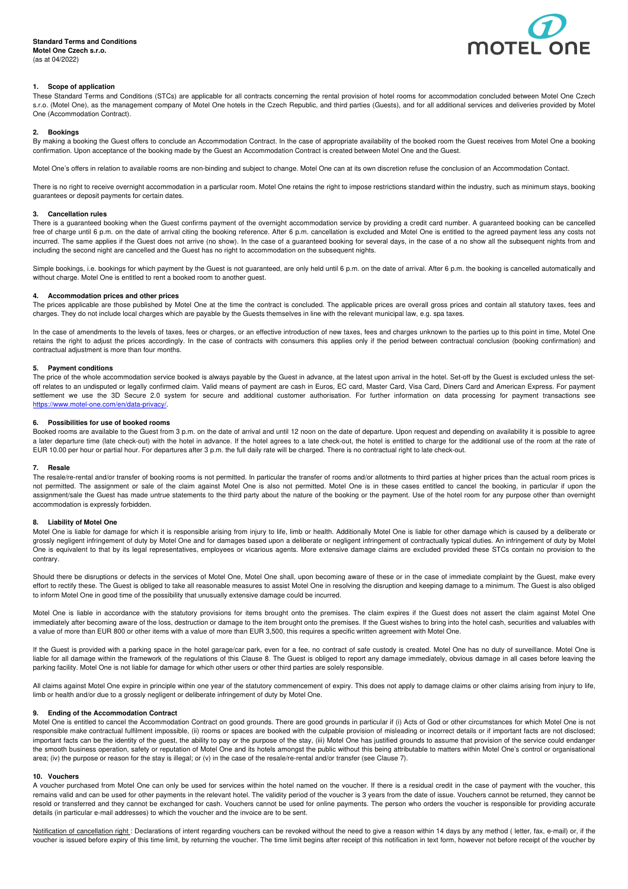

# **1. Scope of application**

These Standard Terms and Conditions (STCs) are applicable for all contracts concerning the rental provision of hotel rooms for accommodation concluded between Motel One Czech s.r.o. (Motel One), as the management company of Motel One hotels in the Czech Republic, and third parties (Guests), and for all additional services and deliveries provided by Motel One (Accommodation Contract).

## **2. Bookings**

By making a booking the Guest offers to conclude an Accommodation Contract. In the case of appropriate availability of the booked room the Guest receives from Motel One a booking confirmation. Upon acceptance of the booking made by the Guest an Accommodation Contract is created between Motel One and the Guest.

Motel One's offers in relation to available rooms are non-binding and subject to change. Motel One can at its own discretion refuse the conclusion of an Accommodation Contact.

There is no right to receive overnight accommodation in a particular room. Motel One retains the right to impose restrictions standard within the industry, such as minimum stays, booking guarantees or deposit payments for certain dates.

# **3. Cancellation rules**

There is a guaranteed booking when the Guest confirms payment of the overnight accommodation service by providing a credit card number. A guaranteed booking can be cancelled free of charge until 6 p.m. on the date of arrival citing the booking reference. After 6 p.m. cancellation is excluded and Motel One is entitled to the agreed payment less any costs not incurred. The same applies if the Guest does not arrive (no show). In the case of a guaranteed booking for several days, in the case of a no show all the subsequent nights from and including the second night are cancelled and the Guest has no right to accommodation on the subsequent nights.

Simple bookings, i.e. bookings for which payment by the Guest is not guaranteed, are only held until 6 p.m. on the date of arrival. After 6 p.m. the booking is cancelled automatically and without charge. Motel One is entitled to rent a booked room to another guest.

### **4. Accommodation prices and other prices**

The prices applicable are those published by Motel One at the time the contract is concluded. The applicable prices are overall gross prices and contain all statutory taxes, fees and charges. They do not include local charges which are payable by the Guests themselves in line with the relevant municipal law, e.g. spa taxes.

In the case of amendments to the levels of taxes, fees or charges, or an effective introduction of new taxes, fees and charges unknown to the parties up to this point in time, Motel One retains the right to adjust the prices accordingly. In the case of contracts with consumers this applies only if the period between contractual conclusion (booking confirmation) and contractual adjustment is more than four months.

### **5. Payment conditions**

The price of the whole accommodation service booked is always payable by the Guest in advance, at the latest upon arrival in the hotel. Set-off by the Guest is excluded unless the setoff relates to an undisputed or legally confirmed claim. Valid means of payment are cash in Euros, EC card, Master Card, Visa Card, Diners Card and American Express. For payment settlement we use the 3D Secure 2.0 system for secure and additional customer authorisation. For further information on data processing for payment transactions see https://www.motel-one.com/en/data-privacy/.

### **6. Possibilities for use of booked rooms**

Booked rooms are available to the Guest from 3 p.m. on the date of arrival and until 12 noon on the date of departure. Upon request and depending on availability it is possible to agree a later departure time (late check-out) with the hotel in advance. If the hotel agrees to a late check-out, the hotel is entitled to charge for the additional use of the room at the rate of EUR 10.00 per hour or partial hour. For departures after 3 p.m. the full daily rate will be charged. There is no contractual right to late check-out.

#### **7. Resale**

The resale/re-rental and/or transfer of booking rooms is not permitted. In particular the transfer of rooms and/or allotments to third parties at higher prices than the actual room prices is not permitted. The assignment or sale of the claim against Motel One is also not permitted. Motel One is in these cases entitled to cancel the booking, in particular if upon the assignment/sale the Guest has made untrue statements to the third party about the nature of the booking or the payment. Use of the hotel room for any purpose other than overnight accommodation is expressly forbidden.

### **8. Liability of Motel One**

Motel One is liable for damage for which it is responsible arising from injury to life, limb or health. Additionally Motel One is liable for other damage which is caused by a deliberate or grossly negligent infringement of duty by Motel One and for damages based upon a deliberate or negligent infringement of contractually typical duties. An infringement of duty by Motel One is equivalent to that by its legal representatives, employees or vicarious agents. More extensive damage claims are excluded provided these STCs contain no provision to the contrary.

Should there be disruptions or defects in the services of Motel One, Motel One shall, upon becoming aware of these or in the case of immediate complaint by the Guest, make every effort to rectify these. The Guest is obliged to take all reasonable measures to assist Motel One in resolving the disruption and keeping damage to a minimum. The Guest is also obliged to inform Motel One in good time of the possibility that unusually extensive damage could be incurred.

Motel One is liable in accordance with the statutory provisions for items brought onto the premises. The claim expires if the Guest does not assert the claim against Motel One immediately after becoming aware of the loss, destruction or damage to the item brought onto the premises. If the Guest wishes to bring into the hotel cash, securities and valuables with a value of more than EUR 800 or other items with a value of more than EUR 3,500, this requires a specific written agreement with Motel One.

If the Guest is provided with a parking space in the hotel garage/car park, even for a fee, no contract of safe custody is created. Motel One has no duty of surveillance. Motel One is liable for all damage within the framework of the regulations of this Clause 8. The Guest is obliged to report any damage immediately, obvious damage in all cases before leaving the parking facility. Motel One is not liable for damage for which other users or other third parties are solely responsible.

All claims against Motel One expire in principle within one year of the statutory commencement of expiry. This does not apply to damage claims or other claims arising from injury to life, limb or health and/or due to a grossly negligent or deliberate infringement of duty by Motel One.

### **9. Ending of the Accommodation Contract**

Motel One is entitled to cancel the Accommodation Contract on good grounds. There are good grounds in particular if (i) Acts of God or other circumstances for which Motel One is not responsible make contractual fulfilment impossible, (ii) rooms or spaces are booked with the culpable provision of misleading or incorrect details or if important facts are not disclosed; important facts can be the identity of the guest, the ability to pay or the purpose of the stay, (iii) Motel One has justified grounds to assume that provision of the service could endanger the smooth business operation, safety or reputation of Motel One and its hotels amongst the public without this being attributable to matters within Motel One's control or organisational area; (iv) the purpose or reason for the stay is illegal; or (v) in the case of the resale/re-rental and/or transfer (see Clause 7).

#### **10. Vouchers**

A voucher purchased from Motel One can only be used for services within the hotel named on the voucher. If there is a residual credit in the case of payment with the voucher, this remains valid and can be used for other payments in the relevant hotel. The validity period of the voucher is 3 years from the date of issue. Vouchers cannot be returned, they cannot be resold or transferred and they cannot be exchanged for cash. Vouchers cannot be used for online payments. The person who orders the voucher is responsible for providing accurate details (in particular e-mail addresses) to which the voucher and the invoice are to be sent.

Notification of cancellation right : Declarations of intent regarding vouchers can be revoked without the need to give a reason within 14 days by any method (letter, fax, e-mail) or, if the voucher is issued before expiry of this time limit, by returning the voucher. The time limit begins after receipt of this notification in text form, however not before receipt of the voucher by